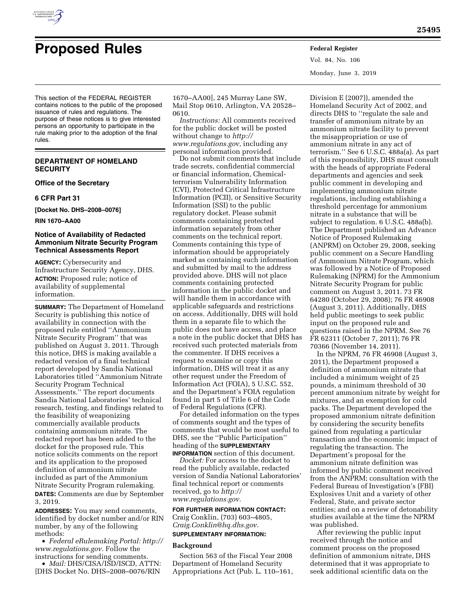

# **Proposed Rules Federal Register**

Vol. 84, No. 106 Monday, June 3, 2019

This section of the FEDERAL REGISTER contains notices to the public of the proposed issuance of rules and regulations. The purpose of these notices is to give interested persons an opportunity to participate in the rule making prior to the adoption of the final rules.

## **DEPARTMENT OF HOMELAND SECURITY**

**Office of the Secretary** 

**6 CFR Part 31** 

**[Docket No. DHS–2008–0076]** 

**RIN 1670–AA00** 

## **Notice of Availability of Redacted Ammonium Nitrate Security Program Technical Assessments Report**

**AGENCY:** Cybersecurity and Infrastructure Security Agency, DHS. **ACTION:** Proposed rule; notice of availability of supplemental information.

**SUMMARY:** The Department of Homeland Security is publishing this notice of availability in connection with the proposed rule entitled ''Ammonium Nitrate Security Program'' that was published on August 3, 2011. Through this notice, DHS is making available a redacted version of a final technical report developed by Sandia National Laboratories titled ''Ammonium Nitrate Security Program Technical Assessments.'' The report documents Sandia National Laboratories' technical research, testing, and findings related to the feasibility of weaponizing commercially available products containing ammonium nitrate. The redacted report has been added to the docket for the proposed rule. This notice solicits comments on the report and its application to the proposed definition of ammonium nitrate included as part of the Ammonium Nitrate Security Program rulemaking. **DATES:** Comments are due by September 3, 2019.

**ADDRESSES:** You may send comments, identified by docket number and/or RIN number, by any of the following methods:

• *Federal eRulemaking Portal: [http://](http://www.regulations.gov)  [www.regulations.gov.](http://www.regulations.gov)* Follow the instructions for sending comments.

• *Mail:* DHS/CISA/ISD/ISCD, ATTN: [DHS Docket No. DHS–2008–0076/RIN

1670–AA00], 245 Murray Lane SW, Mail Stop 0610, Arlington, VA 20528– 0610.

*Instructions:* All comments received for the public docket will be posted without change to *[http://](http://www.regulations.gov) [www.regulations.gov,](http://www.regulations.gov)* including any personal information provided.

Do not submit comments that include trade secrets, confidential commercial or financial information, Chemicalterrorism Vulnerability Information (CVI), Protected Critical Infrastructure Information (PCII), or Sensitive Security Information (SSI) to the public regulatory docket. Please submit comments containing protected information separately from other comments on the technical report. Comments containing this type of information should be appropriately marked as containing such information and submitted by mail to the address provided above. DHS will not place comments containing protected information in the public docket and will handle them in accordance with applicable safeguards and restrictions on access. Additionally, DHS will hold them in a separate file to which the public does not have access, and place a note in the public docket that DHS has received such protected materials from the commenter. If DHS receives a request to examine or copy this information, DHS will treat it as any other request under the Freedom of Information Act (FOIA), 5 U.S.C. 552, and the Department's FOIA regulation found in part 5 of Title 6 of the Code of Federal Regulations (CFR).

For detailed information on the types of comments sought and the types of comments that would be most useful to DHS, see the ''Public Participation'' heading of the **SUPPLEMENTARY INFORMATION** section of this document.

*Docket:* For access to the docket to read the publicly available, redacted version of Sandia National Laboratories' final technical report or comments received, go to *[http://](http://www.regulations.gov) [www.regulations.gov](http://www.regulations.gov)*.

## **FOR FURTHER INFORMATION CONTACT:**

Craig Conklin, (703) 603–4805, *[Craig.Conklin@hq.dhs.gov](mailto:Craig.Conklin@hq.dhs.gov)*. **SUPPLEMENTARY INFORMATION:** 

## **Background**

Section 563 of the Fiscal Year 2008 Department of Homeland Security Appropriations Act (Pub. L. 110–161,

Division E (2007)), amended the Homeland Security Act of 2002, and directs DHS to ''regulate the sale and transfer of ammonium nitrate by an ammonium nitrate facility to prevent the misappropriation or use of ammonium nitrate in any act of terrorism.'' See 6 U.S.C. 488a(a). As part of this responsibility, DHS must consult with the heads of appropriate Federal departments and agencies and seek public comment in developing and implementing ammonium nitrate regulations, including establishing a threshold percentage for ammonium nitrate in a substance that will be subject to regulation. 6 U.S.C. 488a(b). The Department published an Advance Notice of Proposed Rulemaking (ANPRM) on October 29, 2008, seeking public comment on a Secure Handling of Ammonium Nitrate Program, which was followed by a Notice of Proposed Rulemaking (NPRM) for the Ammonium Nitrate Security Program for public comment on August 3, 2011. 73 FR 64280 (October 29, 2008); 76 FR 46908 (August 3, 2011). Additionally, DHS held public meetings to seek public input on the proposed rule and questions raised in the NPRM. See 76 FR 62311 (October 7, 2011); 76 FR 70366 (November 14, 2011).

In the NPRM, 76 FR 46908 (August 3, 2011), the Department proposed a definition of ammonium nitrate that included a minimum weight of 25 pounds, a minimum threshold of 30 percent ammonium nitrate by weight for mixtures, and an exemption for cold packs. The Department developed the proposed ammonium nitrate definition by considering the security benefits gained from regulating a particular transaction and the economic impact of regulating the transaction. The Department's proposal for the ammonium nitrate definition was informed by public comment received from the ANPRM; consultation with the Federal Bureau of Investigation's (FBI) Explosives Unit and a variety of other Federal, State, and private sector entities; and on a review of detonability studies available at the time the NPRM was published.

After reviewing the public input received through the notice and comment process on the proposed definition of ammonium nitrate, DHS determined that it was appropriate to seek additional scientific data on the